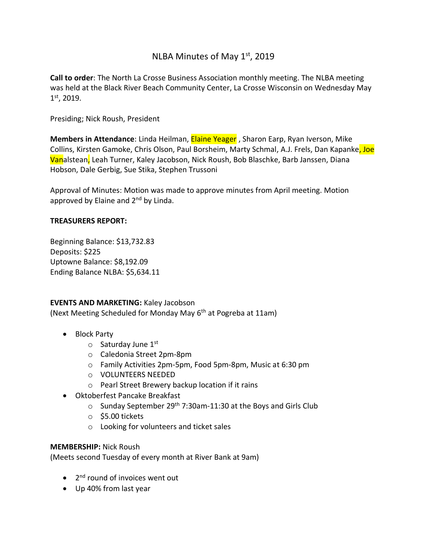# NLBA Minutes of May  $1<sup>st</sup>$ , 2019

**Call to order**: The North La Crosse Business Association monthly meeting. The NLBA meeting was held at the Black River Beach Community Center, La Crosse Wisconsin on Wednesday May 1 st, 2019.

Presiding; Nick Roush, President

**Members in Attendance**: Linda Heilman, Elaine Yeager , Sharon Earp, Ryan Iverson, Mike Collins, Kirsten Gamoke, Chris Olson, Paul Borsheim, Marty Schmal, A.J. Frels, Dan Kapanke, Joe Vanalstean, Leah Turner, Kaley Jacobson, Nick Roush, Bob Blaschke, Barb Janssen, Diana Hobson, Dale Gerbig, Sue Stika, Stephen Trussoni

Approval of Minutes: Motion was made to approve minutes from April meeting. Motion approved by Elaine and 2<sup>nd</sup> by Linda.

### **TREASURERS REPORT:**

Beginning Balance: \$13,732.83 Deposits: \$225 Uptowne Balance: \$8,192.09 Ending Balance NLBA: \$5,634.11

#### **EVENTS AND MARKETING:** Kaley Jacobson

(Next Meeting Scheduled for Monday May 6<sup>th</sup> at Pogreba at 11am)

- Block Party
	- $\circ$  Saturday June 1st
	- o Caledonia Street 2pm-8pm
	- o Family Activities 2pm-5pm, Food 5pm-8pm, Music at 6:30 pm
	- o VOLUNTEERS NEEDED
	- o Pearl Street Brewery backup location if it rains
- Oktoberfest Pancake Breakfast
	- $\circ$  Sunday September 29<sup>th</sup> 7:30am-11:30 at the Boys and Girls Club
	- $\circ$  \$5.00 tickets
	- o Looking for volunteers and ticket sales

#### **MEMBERSHIP:** Nick Roush

(Meets second Tuesday of every month at River Bank at 9am)

- 2<sup>nd</sup> round of invoices went out
- Up 40% from last year